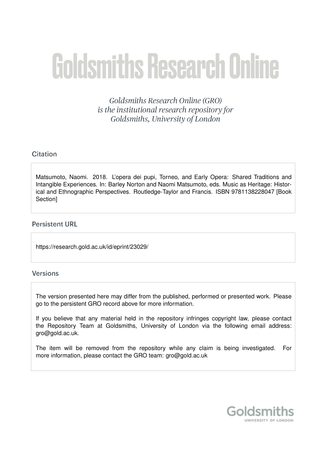# **Goldsmiths Research Online**

Goldsmiths Research Online (GRO) is the institutional research repository for Goldsmiths, University of London

# Citation

Matsumoto, Naomi. 2018. L'opera dei pupi, Torneo, and Early Opera: Shared Traditions and Intangible Experiences. In: Barley Norton and Naomi Matsumoto, eds. Music as Heritage: Historical and Ethnographic Perspectives. Routledge-Taylor and Francis. ISBN 9781138228047 [Book Section]

# **Persistent URL**

https://research.gold.ac.uk/id/eprint/23029/

# Versions

The version presented here may differ from the published, performed or presented work. Please go to the persistent GRO record above for more information.

If you believe that any material held in the repository infringes copyright law, please contact the Repository Team at Goldsmiths, University of London via the following email address: gro@gold.ac.uk.

The item will be removed from the repository while any claim is being investigated. For more information, please contact the GRO team: gro@gold.ac.uk

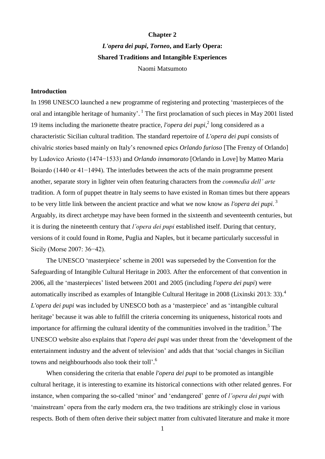## **Chapter 2**

*L'opera dei pupi***,** *Torneo***, and Early Opera: Shared Traditions and Intangible Experiences** Naomi Matsumoto

## **Introduction**

In 1998 UNESCO launched a new programme of registering and protecting 'masterpieces of the oral and intangible heritage of humanity'.<sup>1</sup> The first proclamation of such pieces in May 2001 listed 19 items including the marionette theatre practice, *l'opera dei pupi*,<sup>2</sup> long considered as a characteristic Sicilian cultural tradition. The standard repertoire of *L'opera dei pupi* consists of chivalric stories based mainly on Italy's renowned epics *Orlando furioso* [The Frenzy of Orlando] by Ludovico Ariosto (1474−1533) and *Orlando innamorato* [Orlando in Love] by Matteo Maria Boiardo (1440 or 41−1494)*.* The interludes between the acts of the main programme present another, separate story in lighter vein often featuring characters from the *commedia dell' arte* tradition. A form of puppet theatre in Italy seems to have existed in Roman times but there appears to be very little link between the ancient practice and what we now know as *l'opera dei pupi*. 3 Arguably, its direct archetype may have been formed in the sixteenth and seventeenth centuries, but it is during the nineteenth century that *l'opera dei pupi* established itself. During that century, versions of it could found in Rome, Puglia and Naples, but it became particularly successful in Sicily (Morse 2007: 36−42).

The UNESCO 'masterpiece' scheme in 2001 was superseded by the Convention for the Safeguarding of Intangible Cultural Heritage in 2003. After the enforcement of that convention in 2006, all the 'masterpieces' listed between 2001 and 2005 (including *l'opera dei pupi*) were automatically inscribed as examples of Intangible Cultural Heritage in 2008 (Lixinski 2013: 33).<sup>4</sup> *L'opera dei pupi* was included by UNESCO both as a 'masterpiece' and as 'intangible cultural heritage' because it was able to fulfill the criteria concerning its uniqueness, historical roots and importance for affirming the cultural identity of the communities involved in the tradition.<sup>5</sup> The UNESCO website also explains that *l'opera dei pupi* was under threat from the 'development of the entertainment industry and the advent of television' and adds that that 'social changes in Sicilian towns and neighbourhoods also took their toll'.<sup>6</sup>

When considering the criteria that enable *l'opera dei pupi* to be promoted as intangible cultural heritage, it is interesting to examine its historical connections with other related genres. For instance, when comparing the so-called 'minor' and 'endangered' genre of *l'opera dei pupi* with 'mainstream' opera from the early modern era, the two traditions are strikingly close in various respects. Both of them often derive their subject matter from cultivated literature and make it more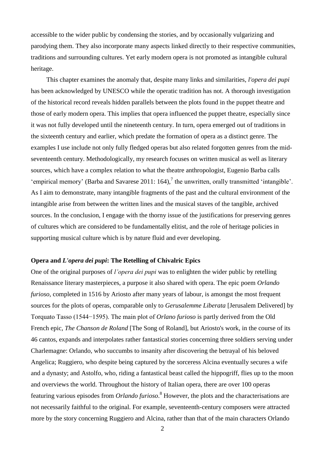accessible to the wider public by condensing the stories, and by occasionally vulgarizing and parodying them. They also incorporate many aspects linked directly to their respective communities, traditions and surrounding cultures. Yet early modern opera is not promoted as intangible cultural heritage.

This chapter examines the anomaly that, despite many links and similarities, *l'opera dei pupi*  has been acknowledged by UNESCO while the operatic tradition has not. A thorough investigation of the historical record reveals hidden parallels between the plots found in the puppet theatre and those of early modern opera. This implies that opera influenced the puppet theatre, especially since it was not fully developed until the nineteenth century. In turn, opera emerged out of traditions in the sixteenth century and earlier, which predate the formation of opera as a distinct genre. The examples I use include not only fully fledged operas but also related forgotten genres from the midseventeenth century. Methodologically, my research focuses on written musical as well as literary sources, which have a complex relation to what the theatre anthropologist, Eugenio Barba calls 'empirical memory' (Barba and Savarese 2011: 164),<sup>7</sup> the unwritten, orally transmitted 'intangible'. As I aim to demonstrate, many intangible fragments of the past and the cultural environment of the intangible arise from between the written lines and the musical staves of the tangible, archived sources. In the conclusion, I engage with the thorny issue of the justifications for preserving genres of cultures which are considered to be fundamentally elitist, and the role of heritage policies in supporting musical culture which is by nature fluid and ever developing.

## **Opera and** *L'opera dei pupi***: The Retelling of Chivalric Epics**

One of the original purposes of *l'opera dei pupi* was to enlighten the wider public by retelling Renaissance literary masterpieces, a purpose it also shared with opera. The epic poem *Orlando furioso*, completed in 1516 by Ariosto after many years of labour, is amongst the most frequent sources for the plots of operas, comparable only to *Gerusalemme Liberata* [Jerusalem Delivered] by Torquato Tasso (1544−1595). The main plot of *Orlano furioso* is partly derived from the Old French epic, *The Chanson de Roland* [The Song of Roland], but Ariosto's work, in the course of its 46 cantos, expands and interpolates rather fantastical stories concerning three soldiers serving under Charlemagne: Orlando, who succumbs to insanity after discovering the betrayal of his beloved Angelica; Ruggiero, who despite being captured by the sorceress Alcina eventually secures a wife and a dynasty; and Astolfo, who, riding a fantastical beast called the hippogriff, flies up to the moon and overviews the world. Throughout the history of Italian opera, there are over 100 operas featuring various episodes from *Orlando furioso*. <sup>8</sup> However, the plots and the characterisations are not necessarily faithful to the original. For example, seventeenth-century composers were attracted more by the story concerning Ruggiero and Alcina, rather than that of the main characters Orlando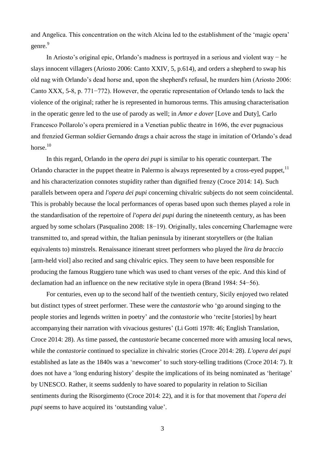and Angelica. This concentration on the witch Alcina led to the establishment of the 'magic opera' genre.<sup>9</sup>

In Ariosto's original epic, Orlando's madness is portrayed in a serious and violent way − he slays innocent villagers (Ariosto 2006: Canto XXIV, 5, p.614), and orders a shepherd to swap his old nag with Orlando's dead horse and, upon the shepherd's refusal, he murders him (Ariosto 2006: Canto XXX, 5-8, p. 771−772). However, the operatic representation of Orlando tends to lack the violence of the original; rather he is represented in humorous terms. This amusing characterisation in the operatic genre led to the use of parody as well; in *Amor e dover* [Love and Duty], Carlo Francesco Pollarolo's opera premiered in a Venetian public theatre in 1696, the ever pugnacious and frenzied German soldier Gernando drags a chair across the stage in imitation of Orlando's dead horse. $10$ 

In this regard, Orlando in the *opera dei pupi* is similar to his operatic counterpart. The Orlando character in the puppet theatre in Palermo is always represented by a cross-eyed puppet.<sup>11</sup> and his characterization connotes stupidity rather than dignified frenzy (Croce 2014: 14). Such parallels between opera and *l'opera dei pupi* concerning chivalric subjects do not seem coincidental. This is probably because the local performances of operas based upon such themes played a role in the standardisation of the repertoire of *l'opera dei pupi* during the nineteenth century, as has been argued by some scholars (Pasqualino 2008: 18−19). Originally, tales concerning Charlemagne were transmitted to, and spread within, the Italian peninsula by itinerant storytellers or (the Italian equivalents to) minstrels. Renaissance itinerant street performers who played the *lira da braccio* [arm-held viol] also recited and sang chivalric epics. They seem to have been responsible for producing the famous Ruggiero tune which was used to chant verses of the epic. And this kind of declamation had an influence on the new recitative style in opera (Brand 1984: 54−56).

For centuries, even up to the second half of the twentieth century, Sicily enjoyed two related but distinct types of street performer. These were the *cantastorie* who 'go around singing to the people stories and legends written in poetry' and the *contastorie* who 'recite [stories] by heart accompanying their narration with vivacious gestures' (Li Gotti 1978: 46; English Translation, Croce 2014: 28). As time passed, the *cantastorie* became concerned more with amusing local news, while the *contastorie* continued to specialize in chivalric stories (Croce 2014: 28). *L'opera dei pupi* established as late as the 1840s was a 'newcomer' to such story-telling traditions (Croce 2014: 7). It does not have a 'long enduring history' despite the implications of its being nominated as 'heritage' by UNESCO. Rather, it seems suddenly to have soared to popularity in relation to Sicilian sentiments during the Risorgimento (Croce 2014: 22), and it is for that movement that *l'opera dei pupi* seems to have acquired its 'outstanding value'.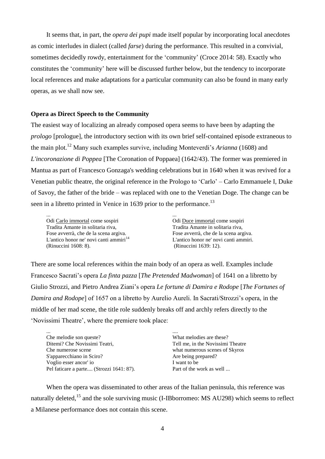It seems that, in part, the *opera dei pupi* made itself popular by incorporating local anecdotes as comic interludes in dialect (called *farse*) during the performance. This resulted in a convivial, sometimes decidedly rowdy, entertainment for the 'community' (Croce 2014: 58). Exactly who constitutes the 'community' here will be discussed further below, but the tendency to incorporate local references and make adaptations for a particular community can also be found in many early operas, as we shall now see.

## **Opera as Direct Speech to the Community**

The easiest way of localizing an already composed opera seems to have been by adapting the *prologo* [prologue], the introductory section with its own brief self-contained episode extraneous to the main plot.<sup>12</sup> Many such examples survive, including Monteverdi's *Arianna* (1608) and *L'incoronazione di Poppea* [The Coronation of Poppaea] (1642/43). The former was premiered in Mantua as part of Francesco Gonzaga's wedding celebrations but in 1640 when it was revived for a Venetian public theatre, the original reference in the Prologo to 'Carlo' – Carlo Emmanuele I, Duke of Savoy, the father of the bride – was replaced with one to the Venetian Doge. The change can be seen in a libretto printed in Venice in 1639 prior to the performance.<sup>13</sup>

... Odi Carlo immortal come sospiri Tradita Amante in solitaria riva, Fose avverrà, che de la scena argiva. L'antico honor ne' novi canti ammiri<sup>14</sup> (Rinuccini 1608: 8).

... Odi Duce immortal come sospiri Tradita Amante in solitaria riva, Fose avverrà, che de la scena argiva. L'antico honor ne' novi canti ammiri. (Rinuccini 1639: 12).

There are some local references within the main body of an opera as well. Examples include Francesco Sacrati's opera *La finta pazza* [*The Pretended Madwoman*] of 1641 on a libretto by Giulio Strozzi, and Pietro Andrea Ziani's opera *Le fortune di Damira e Rodope* [*The Fortunes of Damira and Rodope*] of 1657 on a libretto by Aurelio Aureli. In Sacrati/Strozzi's opera, in the middle of her mad scene, the title role suddenly breaks off and archly refers directly to the 'Novissimi Theatre', where the premiere took place:

| $\cdots$                                 |                                   |
|------------------------------------------|-----------------------------------|
| Che melodie son queste?                  | What melodies are these?          |
| Ditemi? Che Novissimi Teatri,            | Tell me, in the Novissimi Theatre |
| Che numerose scene                       | what numerous scenes of Skyros    |
| S'apparecchiano in Sciro?                | Are being prepared?               |
| Voglio esser ancor' io                   | I want to be                      |
| Pel faticare a parte (Strozzi 1641: 87). | Part of the work as well          |

When the opera was disseminated to other areas of the Italian peninsula, this reference was naturally deleted,<sup>15</sup> and the sole surviving music (I-IBborromeo: MS AU298) which seems to reflect a Milanese performance does not contain this scene.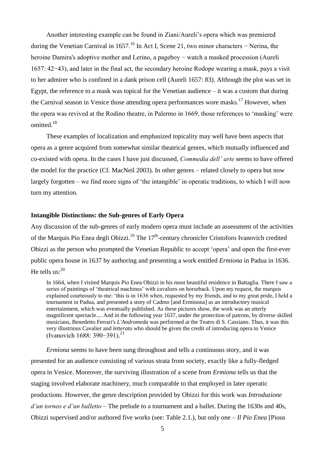Another interesting example can be found in Ziani/Aureli's opera which was premiered during the Venetian Carnival in 1657.<sup>16</sup> In Act I, Scene 21, two minor characters – Nerina, the heroine Damira's adoptive mother and Lerino, a pageboy − watch a masked procession (Aureli 1657: 42−43), and later in the final act, the secondary heroine Rodope wearing a mask, pays a visit to her admirer who is confined in a dank prison cell (Aureli 1657: 83). Although the plot was set in Egypt, the reference to a mask was topical for the Venetian audience  $-$  it was a custom that during the Carnival season in Venice those attending opera performances wore masks.<sup>17</sup> However, when the opera was revived at the Rodino theatre, in Palermo in 1669, those references to 'masking' were omitted.<sup>18</sup>

These examples of localization and emphasized topicality may well have been aspects that opera as a genre acquired from somewhat similar theatrical genres, which mutually influenced and co-existed with opera. In the cases I have just discussed, *Commedia dell' arte* seems to have offered the model for the practice (Cf. MacNeil 2003). In other genres – related closely to opera but now largely forgotten – we find more signs of 'the intangible' in operatic traditions, to which I will now turn my attention.

## **Intangible Distinctions: the Sub-genres of Early Opera**

Any discussion of the sub-genres of early modern opera must include an assessment of the activities of the Marquis Pio Enea degli Obizzi.<sup>19</sup> The 17<sup>th</sup>-century chronicler Cristoforo Ivanovich credited Obizzi as the person who prompted the Venetian Republic to accept 'opera' and open the first-ever public opera house in 1637 by authoring and presenting a work entitled *Ermiona* in Padua in 1636. He tells us: $^{20}$ 

In 1664, when I visited Marquis Pio Enea Obizzi in his most beautiful residence in Battaglia. There I saw a series of paintings of 'theatrical machines' with cavaliers on horseback. Upon my request, the marquis explained courteously to me: 'this is in 1636 when, requested by my friends, and to my great pride, I held a tournament in Padua, and presented a story of Cadmo [and Erminona] as an introductory musical entertainment, which was eventually published. As these pictures show, the work was an utterly magnificent spectacle.... And in the following year 1637, under the protection of patrons, by diverse skilled musicians, Benedetto Ferrari's *L'Andromeda* was performed at the Teatro di S. Cassiano. Thus, it was this very illustrious Cavalier and *letterato* who should be given the credit of introducing opera to Venice (Ivanovich 1688: 390−391). 21

*Ermiona* seems to have been sung throughout and tells a continuous story, and it was presented for an audience consisting of various strata from society, exactly like a fully-fledged opera in Venice. Moreover, the surviving illustration of a scene from *Ermiona* tells us that the staging involved elaborate machinery, much comparable to that employed in later operatic productions. However, the genre description provided by Obizzi for this work was *Introduzione d'un torneo e d'un balletto* – The prelude to a tournament and a ballet. During the 1630s and 40s, Obizzi supervised and/or authored five works (see: Table 2.1.), but only one – *Il Pio Enea* [Pious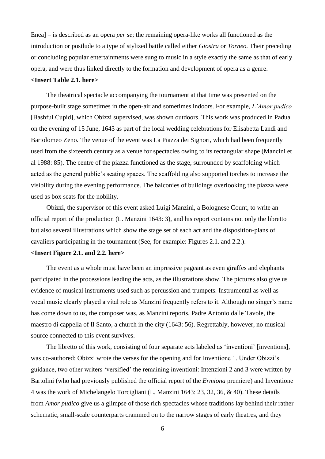Enea] – is described as an opera *per se*; the remaining opera-like works all functioned as the introduction or postlude to a type of stylized battle called either *Giostra* or *Torneo.* Their preceding or concluding popular entertainments were sung to music in a style exactly the same as that of early opera, and were thus linked directly to the formation and development of opera as a genre.

## **<Insert Table 2.1. here>**

The theatrical spectacle accompanying the tournament at that time was presented on the purpose-built stage sometimes in the open-air and sometimes indoors. For example, *L'Amor pudico* [Bashful Cupid], which Obizzi supervised, was shown outdoors. This work was produced in Padua on the evening of 15 June, 1643 as part of the local wedding celebrations for Elisabetta Landi and Bartolomeo Zeno. The venue of the event was La Piazza dei Signori, which had been frequently used from the sixteenth century as a venue for spectacles owing to its rectangular shape (Mancini et al 1988: 85). The centre of the piazza functioned as the stage, surrounded by scaffolding which acted as the general public's seating spaces. The scaffolding also supported torches to increase the visibility during the evening performance. The balconies of buildings overlooking the piazza were used as box seats for the nobility.

Obizzi, the supervisor of this event asked Luigi Manzini, a Bolognese Count, to write an official report of the production (L. Manzini 1643: 3), and his report contains not only the libretto but also several illustrations which show the stage set of each act and the disposition-plans of cavaliers participating in the tournament (See, for example: Figures 2.1. and 2.2.).

## **<Insert Figure 2.1. and 2.2. here>**

The event as a whole must have been an impressive pageant as even giraffes and elephants participated in the processions leading the acts, as the illustrations show. The pictures also give us evidence of musical instruments used such as percussion and trumpets. Instrumental as well as vocal music clearly played a vital role as Manzini frequently refers to it. Although no singer's name has come down to us, the composer was, as Manzini reports, Padre Antonio dalle Tavole, the maestro di cappella of Il Santo, a church in the city (1643: 56). Regrettably, however, no musical source connected to this event survives.

The libretto of this work, consisting of four separate acts labeled as 'inventioni' [inventions], was co-authored: Obizzi wrote the verses for the opening and for Inventione 1. Under Obizzi's guidance, two other writers 'versified' the remaining inventioni: Intenzioni 2 and 3 were written by Bartolini (who had previously published the official report of the *Ermiona* premiere) and Inventione 4 was the work of Michelangelo Torcigliani (L. Manzini 1643: 23, 32, 36, & 40). These details from *Amor pudico* give us a glimpse of those rich spectacles whose traditions lay behind their rather schematic, small-scale counterparts crammed on to the narrow stages of early theatres, and they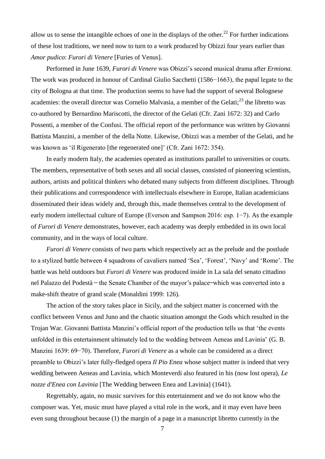allow us to sense the intangible echoes of one in the displays of the other.<sup>22</sup> For further indications of these lost traditions, we need now to turn to a work produced by Obizzi four years earlier than *Amor pudico*: *Furori di Venere* [Furies of Venus].

Performed in June 1639, *Furori di Venere* was Obizzi's second musical drama after *Ermiona.*  The work was produced in honour of Cardinal Giulio Sacchetti (1586−1663), the papal legate to the city of Bologna at that time. The production seems to have had the support of several Bolognese academies: the overall director was Cornelio Malvasia, a member of the Gelati;<sup>23</sup> the libretto was co-authored by Bernardino Mariscotti, the director of the Gelati (Cfr. Zani 1672: 32) and Carlo Possenti, a member of the Confusi. The official report of the performance was written by Giovanni Battista Manzini, a member of the della Notte. Likewise, Obizzi was a member of the Gelati, and he was known as 'il Rigenerato [the regenerated one]' (Cfr. Zani 1672: 354).

In early modern Italy, the academies operated as institutions parallel to universities or courts. The members, representative of both sexes and all social classes, consisted of pioneering scientists, authors, artists and political thinkers who debated many subjects from different disciplines. Through their publications and correspondence with intellectuals elsewhere in Europe, Italian academicians disseminated their ideas widely and, through this, made themselves central to the development of early modern intellectual culture of Europe (Everson and Sampson 2016: esp. 1−7). As the example of *Furori di Venere* demonstrates, however, each academy was deeply embedded in its own local community, and in the ways of local culture.

*Furori di Venere* consists of two parts which respectively act as the prelude and the postlude to a stylized battle between 4 squadrons of cavaliers named 'Sea', 'Forest', 'Navy' and 'Rome'. The battle was held outdoors but *Furori di Venere* was produced inside in La sala del senato cittadino nel Palazzo del Podestà – the Senate Chamber of the mayor's palace which was converted into a make-shift theatre of grand scale (Monaldini 1999: 126).

The action of the story takes place in Sicily, and the subject matter is concerned with the conflict between Venus and Juno and the chaotic situation amongst the Gods which resulted in the Trojan War. Giovanni Battista Manzini's official report of the production tells us that 'the events unfolded in this entertainment ultimately led to the wedding between Aeneas and Lavinia' (G. B. Manzini 1639: 69−70). Therefore, *Furori di Venere* as a whole can be considered as a direct preamble to Obizzi's later fully-fledged opera *Il Pio Enea* whose subject matter is indeed that very wedding between Aeneas and Lavinia, which Monteverdi also featured in his (now lost opera), *Le nozze d'Enea con Lavinia* [The Wedding between Enea and Lavinia] (1641).

Regrettably, again, no music survives for this entertainment and we do not know who the composer was. Yet, music must have played a vital role in the work, and it may even have been even sung throughout because (1) the margin of a page in a manuscript libretto currently in the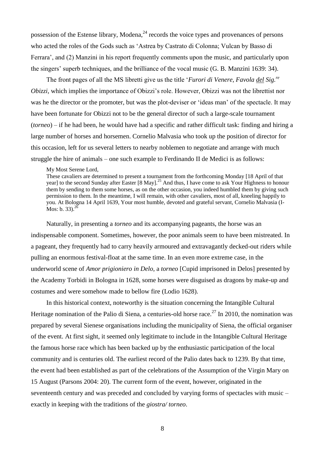possession of the Estense library, Modena,<sup>24</sup> records the voice types and provenances of persons who acted the roles of the Gods such as 'Astrea by Castrato di Colonna; Vulcan by Basso di Ferrara', and (2) Manzini in his report frequently comments upon the music, and particularly upon the singers' superb techniques, and the brilliance of the vocal music (G. B. Manzini 1639: 34).

The front pages of all the MS libretti give us the title '*Furori di Venere, Favola del Sig.re Obizzi*, which implies the importance of Obizzi's role. However, Obizzi was not the librettist nor was he the director or the promoter, but was the plot-deviser or 'ideas man' of the spectacle. It may have been fortunate for Obizzi not to be the general director of such a large-scale tournament (*torneo*) – if he had been, he would have had a specific and rather difficult task: finding and hiring a large number of horses and horsemen. Cornelio Malvasia who took up the position of director for this occasion, left for us several letters to nearby noblemen to negotiate and arrange with much struggle the hire of animals – one such example to Ferdinando II de Medici is as follows:

My Most Serene Lord,

These cavaliers are determined to present a tournament from the forthcoming Monday [18 April of that year] to the second Sunday after Easter [8 May].<sup>25</sup> And thus, I have come to ask Your Highness to honour them by sending to them some horses, as on the other occasion, you indeed humbled them by giving such permission to them. In the meantime, I will remain, with other cavaliers, most of all, kneeling happily to you. At Bologna 14 April 1639, Your most humble, devoted and grateful servant, Cornelio Malvasia (I-Mos: b. 33). $^{26}$ 

Naturally, in presenting a *torneo* and its accompanying pageants, the horse was an indispensable component. Sometimes, however, the poor animals seem to have been mistreated. In a pageant, they frequently had to carry heavily armoured and extravagantly decked-out riders while pulling an enormous festival-float at the same time. In an even more extreme case, in the underworld scene of *Amor prigioniero in Delo*, a *torneo* [Cupid imprisoned in Delos] presented by the Academy Torbidi in Bologna in 1628, some horses were disguised as dragons by make-up and costumes and were somehow made to bellow fire (Lodio 1628).

In this historical context, noteworthy is the situation concerning the Intangible Cultural Heritage nomination of the Palio di Siena, a centuries-old horse race.<sup>27</sup> In 2010, the nomination was prepared by several Sienese organisations including the municipality of Siena, the official organiser of the event. At first sight, it seemed only legitimate to include in the Intangible Cultural Heritage the famous horse race which has been backed up by the enthusiastic participation of the local community and is centuries old. The earliest record of the Palio dates back to 1239. By that time, the event had been established as part of the celebrations of the Assumption of the Virgin Mary on 15 August (Parsons 2004: 20). The current form of the event, however, originated in the seventeenth century and was preceded and concluded by varying forms of spectacles with music – exactly in keeping with the traditions of the *giostra/ torneo*.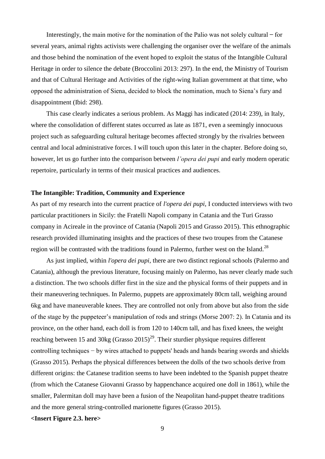Interestingly, the main motive for the nomination of the Palio was not solely cultural  $-$  for several years, animal rights activists were challenging the organiser over the welfare of the animals and those behind the nomination of the event hoped to exploit the status of the Intangible Cultural Heritage in order to silence the debate (Broccolini 2013: 297). In the end, the Ministry of Tourism and that of Cultural Heritage and Activities of the right-wing Italian government at that time, who opposed the administration of Siena, decided to block the nomination, much to Siena's fury and disappointment (Ibid: 298).

This case clearly indicates a serious problem. As Maggi has indicated (2014: 239), in Italy, where the consolidation of different states occurred as late as 1871, even a seemingly innocuous project such as safeguarding cultural heritage becomes affected strongly by the rivalries between central and local administrative forces. I will touch upon this later in the chapter. Before doing so, however, let us go further into the comparison between *l'opera dei pupi* and early modern operatic repertoire, particularly in terms of their musical practices and audiences.

#### **The Intangible: Tradition, Community and Experience**

As part of my research into the current practice of *l'opera dei pupi*, I conducted interviews with two particular practitioners in Sicily: the Fratelli Napoli company in Catania and the Turi Grasso company in Acireale in the province of Catania (Napoli 2015 and Grasso 2015). This ethnographic research provided illuminating insights and the practices of these two troupes from the Catanese region will be contrasted with the traditions found in Palermo, further west on the Island.<sup>28</sup>

As just implied, within *l'opera dei pupi*, there are two distinct regional schools (Palermo and Catania), although the previous literature, focusing mainly on Palermo, has never clearly made such a distinction. The two schools differ first in the size and the physical forms of their puppets and in their maneuvering techniques. In Palermo, puppets are approximately 80cm tall, weighing around 6kg and have maneuverable knees. They are controlled not only from above but also from the side of the stage by the puppeteer's manipulation of rods and strings (Morse 2007: 2). In Catania and its province, on the other hand, each doll is from 120 to 140cm tall, and has fixed knees, the weight reaching between 15 and 30kg (Grasso  $2015<sup>29</sup>$ . Their sturdier physique requires different controlling techniques − by wires attached to puppets' heads and hands bearing swords and shields (Grasso 2015). Perhaps the physical differences between the dolls of the two schools derive from different origins: the Catanese tradition seems to have been indebted to the Spanish puppet theatre (from which the Catanese Giovanni Grasso by happenchance acquired one doll in 1861), while the smaller, Palermitan doll may have been a fusion of the Neapolitan hand-puppet theatre traditions and the more general string-controlled marionette figures (Grasso 2015).

#### **<Insert Figure 2.3. here>**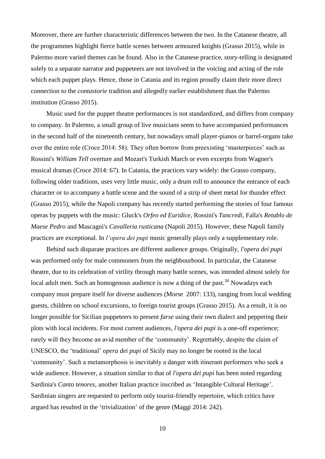Moreover, there are further characteristic differences between the two. In the Catanese theatre, all the programmes highlight fierce battle scenes between armoured knights (Grasso 2015), while in Palermo more varied themes can be found. Also in the Catanese practice, story-telling is designated solely to a separate narrator and puppeteers are not involved in the voicing and acting of the role which each puppet plays. Hence, those in Catania and its region proudly claim their more direct connection to the *contastorie* tradition and allegedly earlier establishment than the Palermo institution (Grasso 2015).

Music used for the puppet theatre performances is not standardized, and differs from company to company. In Palermo, a small group of live musicians seem to have accompanied performances in the second half of the nineteenth century, but nowadays small player-pianos or barrel-organs take over the entire role (Croce 2014: 58). They often borrow from preexisting 'masterpieces' such as Rossini's *William Tell* overture and Mozart's Turkish March or even excerpts from Wagner's musical dramas (Croce 2014: 67). In Catania, the practices vary widely: the Grasso company, following older traditions, uses very little music, only a drum roll to announce the entrance of each character or to accompany a battle scene and the sound of a strip of sheet metal for thunder effect (Grasso 2015), while the Napoli company has recently started performing the stories of four famous operas by puppets with the music: Gluck's *Orfeo ed Euridice*, Rossini's *Tancredi*, Falla's *Retablo de Maese Pedro* and Mascagni's *Cavalleria rusticana* (Napoli 2015). However, these Napoli family practices are exceptional. In *l'opera dei pupi* music generally plays only a supplementary role.

Behind such disparate practices are different audience groups. Originally, *l'opera dei pupi*  was performed only for male commoners from the neighbourhood. In particular, the Catanese theatre, due to its celebration of virility through many battle scenes, was intended almost solely for local adult men. Such an homogenous audience is now a thing of the past.<sup>30</sup> Nowadays each company must prepare itself for diverse audiences (Morse 2007: 133), ranging from local wedding guests, children on school excursions, to foreign tourist groups (Grasso 2015). As a result, it is no longer possible for Sicilian puppeteers to present *farse* using their own dialect and peppering their plots with local incidents. For most current audiences, *l'opera dei pupi* is a one-off experience; rarely will they become an avid member of the 'community'. Regrettably, despite the claim of UNESCO, the 'traditional' *opera dei pupi* of Sicily may no longer be rooted in the local 'community'. Such a metamorphosis is inevitably a danger with itinerant performers who seek a wide audience. However, a situation similar to that of *l'opera dei pupi* has been noted regarding Sardinia's *Canto tenores*, another Italian practice inscribed as 'Intangible Cultural Heritage'. Sardinian singers are requested to perform only tourist-friendly repertoire, which critics have argued has resulted in the 'trivialization' of the genre (Maggi 2014: 242).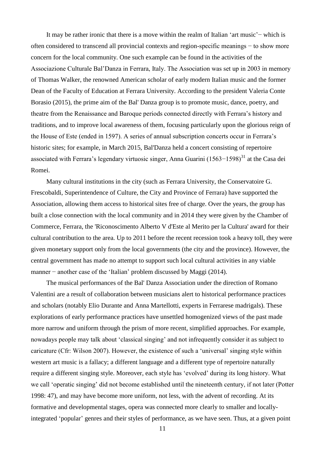It may be rather ironic that there is a move within the realm of Italian 'art music'− which is often considered to transcend all provincial contexts and region-specific meanings − to show more concern for the local community. One such example can be found in the activities of the Associazione Culturale Bal'Danza in Ferrara, Italy. The Association was set up in 2003 in memory of Thomas Walker, the renowned American scholar of early modern Italian music and the former Dean of the Faculty of Education at Ferrara University. According to the president Valeria Conte Borasio (2015), the prime aim of the Bal' Danza group is to promote music, dance, poetry, and theatre from the Renaissance and Baroque periods connected directly with Ferrara's history and traditions, and to improve local awareness of them, focusing particularly upon the glorious reign of the House of Este (ended in 1597). A series of annual subscription concerts occur in Ferrara's historic sites; for example, in March 2015, Bal'Danza held a concert consisting of repertoire associated with Ferrara's legendary virtuosic singer, Anna Guarini (1563–1598)<sup>31</sup> at the Casa dei Romei.

Many cultural institutions in the city (such as Ferrara University, the Conservatoire G. Frescobaldi, Superintendence of Culture, the City and Province of Ferrara) have supported the Association, allowing them access to historical sites free of charge. Over the years, the group has built a close connection with the local community and in 2014 they were given by the Chamber of Commerce, Ferrara, the 'Riconoscimento Alberto V d'Este al Merito per la Cultura' award for their cultural contribution to the area. Up to 2011 before the recent recession took a heavy toll, they were given monetary support only from the local governments (the city and the province). However, the central government has made no attempt to support such local cultural activities in any viable manner − another case of the 'Italian' problem discussed by Maggi (2014).

The musical performances of the Bal' Danza Association under the direction of Romano Valentini are a result of collaboration between musicians alert to historical performance practices and scholars (notably Elio Durante and Anna Martellotti, experts in Ferrarese madrigals). These explorations of early performance practices have unsettled homogenized views of the past made more narrow and uniform through the prism of more recent, simplified approaches. For example, nowadays people may talk about 'classical singing' and not infrequently consider it as subject to caricature (Cfr: Wilson 2007). However, the existence of such a 'universal' singing style within western art music is a fallacy; a different language and a different type of repertoire naturally require a different singing style. Moreover, each style has 'evolved' during its long history. What we call 'operatic singing' did not become established until the nineteenth century, if not later (Potter 1998: 47), and may have become more uniform, not less, with the advent of recording. At its formative and developmental stages, opera was connected more clearly to smaller and locallyintegrated 'popular' genres and their styles of performance, as we have seen. Thus, at a given point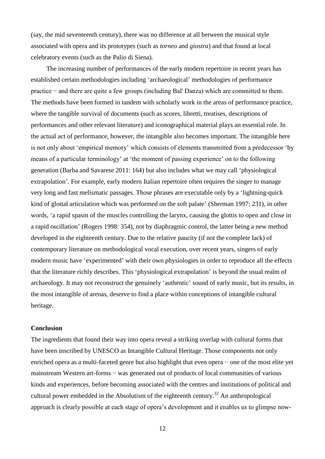(say, the mid seventeenth century), there was no difference at all between the musical style associated with opera and its prototypes (such as *torneo* and *giostra*) and that found at local celebratory events (such as the Palio di Siena).

The increasing number of performances of the early modern repertoire in recent years has established certain methodologies including 'archaeological' methodologies of performance practice − and there are quite a few groups (including Bal' Danza) which are committed to them. The methods have been formed in tandem with scholarly work in the areas of performance practice, where the tangible survival of documents (such as scores, libretti, treatises, descriptions of performances and other relevant literature) and iconographical material plays an essential role. In the actual act of performance, however, the intangible also becomes important. The intangible here is not only about 'empirical memory' which consists of elements transmitted from a predecessor 'by means of a particular terminology' at 'the moment of passing experience' on to the following generation (Barba and Savarese 2011: 164) but also includes what we may call 'physiological extrapolation'. For example, early modern Italian repertoire often requires the singer to manage very long and fast melismatic passages. Those phrases are executable only by a 'lightning-quick kind of glottal articulation which was performed on the soft palate' (Sherman 1997: 231), in other words, 'a rapid spasm of the muscles controlling the larynx, causing the glottis to open and close in a rapid oscillation' (Rogers 1998: 354), not by diaphragmic control, the latter being a new method developed in the eighteenth century. Due to the relative paucity (if not the complete lack) of contemporary literature on methodological vocal execution, over recent years, singers of early modern music have 'experimented' with their own physiologies in order to reproduce all the effects that the literature richly describes. This 'physiological extrapolation' is beyond the usual realm of archaeology. It may not reconstruct the genuinely 'authentic' sound of early music, but its results, in the most intangible of arenas, deserve to find a place within conceptions of intangible cultural heritage.

## **Conclusion**

The ingredients that found their way into opera reveal a striking overlap with cultural forms that have been inscribed by UNESCO as Intangible Cultural Heritage. Those components not only enriched opera as a multi-faceted genre but also highlight that even opera − one of the most elite yet mainstream Western art-forms – was generated out of products of local communities of various kinds and experiences, before becoming associated with the centres and institutions of political and cultural power embedded in the Absolutism of the eighteenth century.<sup>32</sup> An anthropological approach is clearly possible at each stage of opera's development and it enables us to glimpse now-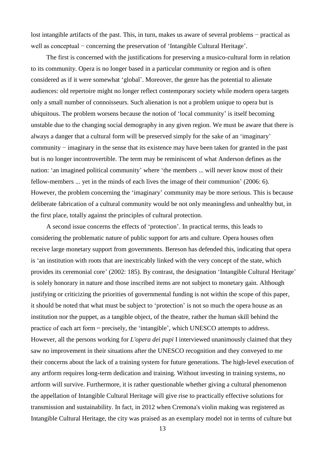lost intangible artifacts of the past. This, in turn, makes us aware of several problems − practical as well as conceptual − concerning the preservation of 'Intangible Cultural Heritage'.

The first is concerned with the justifications for preserving a musico-cultural form in relation to its community. Opera is no longer based in a particular community or region and is often considered as if it were somewhat 'global'. Moreover, the genre has the potential to alienate audiences: old repertoire might no longer reflect contemporary society while modern opera targets only a small number of connoisseurs. Such alienation is not a problem unique to opera but is ubiquitous. The problem worsens because the notion of 'local community' is itself becoming unstable due to the changing social demography in any given region. We must be aware that there is always a danger that a cultural form will be preserved simply for the sake of an 'imaginary' community − imaginary in the sense that its existence may have been taken for granted in the past but is no longer incontrovertible. The term may be reminiscent of what Anderson defines as the nation: 'an imagined political community' where 'the members ... will never know most of their fellow-members ... yet in the minds of each lives the image of their communion' (2006: 6). However, the problem concerning the 'imaginary' community may be more serious. This is because deliberate fabrication of a cultural community would be not only meaningless and unhealthy but, in the first place, totally against the principles of cultural protection.

A second issue concerns the effects of 'protection'. In practical terms, this leads to considering the problematic nature of public support for arts and culture. Opera houses often receive large monetary support from governments. Bereson has defended this, indicating that opera is 'an institution with roots that are inextricably linked with the very concept of the state, which provides its ceremonial core' (2002: 185). By contrast, the designation 'Intangible Cultural Heritage' is solely honorary in nature and those inscribed items are not subject to monetary gain. Although justifying or criticizing the priorities of governmental funding is not within the scope of this paper, it should be noted that what must be subject to 'protection' is not so much the opera house as an institution nor the puppet, as a tangible object, of the theatre, rather the human skill behind the practice of each art form precisely, the 'intangible', which UNESCO attempts to address. However, all the persons working for *L'opera dei pupi* I interviewed unanimously claimed that they saw no improvement in their situations after the UNESCO recognition and they conveyed to me their concerns about the lack of a training system for future generations. The high-level execution of any artform requires long-term dedication and training. Without investing in training systems, no artform will survive. Furthermore, it is rather questionable whether giving a cultural phenomenon the appellation of Intangible Cultural Heritage will give rise to practically effective solutions for transmission and sustainability. In fact, in 2012 when Cremona's violin making was registered as Intangible Cultural Heritage, the city was praised as an exemplary model not in terms of culture but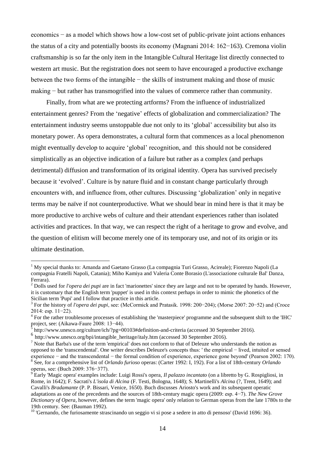economics − as a model which shows how a low-cost set of public-private joint actions enhances the status of a city and potentially boosts its economy (Magnani 2014: 162−163). Cremona violin craftsmanship is so far the only item in the Intangible Cultural Heritage list directly connected to western art music. But the registration does not seem to have encouraged a productive exchange between the two forms of the intangible − the skills of instrument making and those of music making − but rather has transmogrified into the values of commerce rather than community.

Finally, from what are we protecting artforms? From the influence of industrialized entertainment genres? From the 'negative' effects of globalization and commercialization? The entertainment industry seems unstoppable due not only to its 'global' accessibility but also its monetary power. As opera demonstrates, a cultural form that commences as a local phenomenon might eventually develop to acquire 'global' recognition, and this should not be considered simplistically as an objective indication of a failure but rather as a complex (and perhaps detrimental) diffusion and transformation of its original identity. Opera has survived precisely because it 'evolved'. Culture is by nature fluid and in constant change particularly through encounters with, and influence from, other cultures. Discussing 'globalization' only in negative terms may be naïve if not counterproductive. What we should bear in mind here is that it may be more productive to archive webs of culture and their attendant experiences rather than isolated activities and practices. In that way, we can respect the right of a heritage to grow and evolve, and the question of elitism will become merely one of its temporary use, and not of its origin or its ultimate destination.

<sup>&</sup>lt;sup>1</sup> My special thanks to: Amanda and Gaetano Grasso (La compagnia Turi Grasso, Acireale); Fiorenzo Napoli (La compagnia Fratelli Napoli, Catania); Miho Kamiya and Valeria Conte Borasio (L'associazione culturale Bal' Danza, Ferrara).

<sup>&</sup>lt;sup>2</sup> Dolls used for *l'opera dei pupi* are in fact 'marionettes' since they are large and not to be operated by hands. However, it is customary that the English term 'puppet' is used in this context perhaps in order to mimic the phonetics of the Sicilian term 'Pupi' and I follow that practice in this article.

<sup>3</sup> For the history of *l'opera dei pupi*, see: (McCormick and Pratasik. 1998: 200−204); (Morse 2007: 20−52) and (Croce 2014: esp. 11−22).

<sup>&</sup>lt;sup>4</sup> For the rather troublesome processes of establishing the 'masterpiece' programme and the subsequent shift to the 'IHC' project, see: (Aikawa-Faure 2008: 13−44).

<sup>5</sup> http://www.unesco.org/culture/ich/?pg=00103#definition-and-criteria (accessed 30 September 2016).

<sup>6</sup> http://www.unesco.org/bpi/intangible\_heritage/italy.htm (accessed 30 September 2016).

 $<sup>7</sup>$  Note that Barba's use of the term 'empirical' does not conform to that of Deleuze who understands the notion as</sup> opposed to the 'transcendental'. One writer describes Deleuze's concepts thus: ' the empirical − lived, intuited or sensed experience − and the transcendental − the formal condition of experience, experience gone beyond' (Pearson 2002: 170). 8 See, for a comprehensive list of *Orlando furioso* operas: (Carter 1992: I, 192). For a list of 18th-century *Orlando*

operas, see: (Buch 2009: 376−377).

<sup>9</sup> Early 'Magic opera' examples include: Luigi Rossi's opera, *Il palazzo incantato* (on a libretto by G. Rospigliosi, in Rome, in 1642); F. Sacrati's *L'isola di Alcina* (F. Testi, Bologna, 1648); S. Martinelli's *Alcina* (?, Trent, 1649); and Cavalli's *Bradamante* (P. P. Bissari, Venice, 1650). Buch discusses Ariosto's work and its subsequent operatic adaptations as one of the precedents and the sources of 18th-century magic opera (2009: esp. 4−7). *The New Grove Dictionary of Opera*, however, defines the term 'magic opera' only relation to German operas from the late 1780s to the 19th century. See: (Bauman 1992).

<sup>&</sup>lt;sup>10</sup> 'Gernando, che furiosamente strascinando un seggio vi si pose a sedere in atto di pensoso' (David 1696: 36).